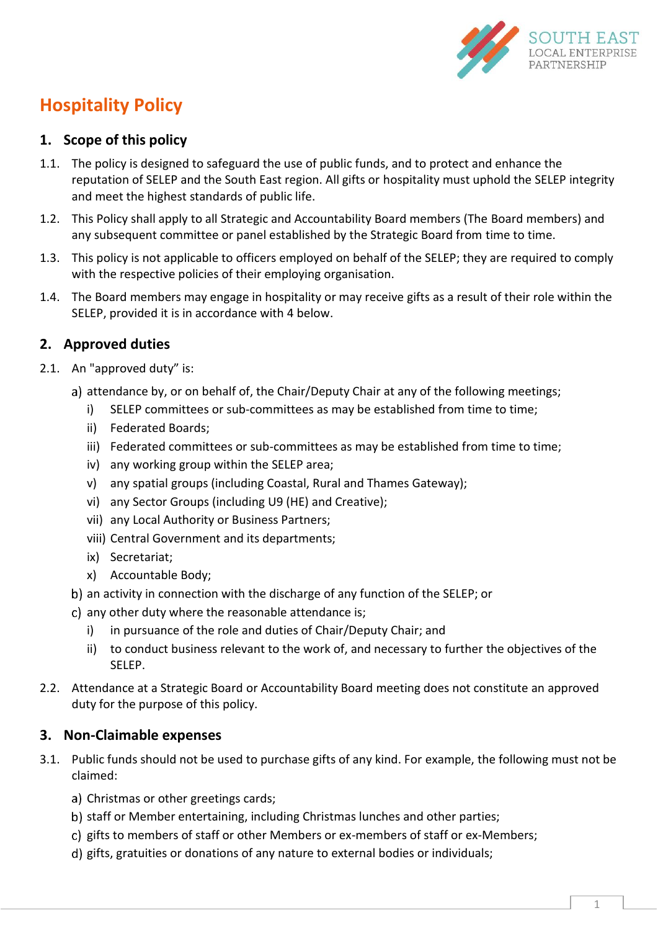

# **Hospitality Policy**

## **1. Scope of this policy**

- 1.1. The policy is designed to safeguard the use of public funds, and to protect and enhance the reputation of SELEP and the South East region. All gifts or hospitality must uphold the SELEP integrity and meet the highest standards of public life.
- 1.2. This Policy shall apply to all Strategic and Accountability Board members (The Board members) and any subsequent committee or panel established by the Strategic Board from time to time.
- 1.3. This policy is not applicable to officers employed on behalf of the SELEP; they are required to comply with the respective policies of their employing organisation.
- 1.4. The Board members may engage in hospitality or may receive gifts as a result of their role within the SELEP, provided it is in accordance with [4 below.](#page-1-0)

# **2. Approved duties**

- 2.1. An "approved duty" is:
	- a) attendance by, or on behalf of, the Chair/Deputy Chair at any of the following meetings;
		- i) SELEP committees or sub-committees as may be established from time to time;
		- ii) Federated Boards;
		- iii) Federated committees or sub-committees as may be established from time to time;
		- iv) any working group within the SELEP area;
		- v) any spatial groups (including Coastal, Rural and Thames Gateway);
		- vi) any Sector Groups (including U9 (HE) and Creative);
		- vii) any Local Authority or Business Partners;
		- viii) Central Government and its departments;
		- ix) Secretariat;
		- x) Accountable Body;
	- b) an activity in connection with the discharge of any function of the SELEP; or
	- c) any other duty where the reasonable attendance is;
		- i) in pursuance of the role and duties of Chair/Deputy Chair; and
		- ii) to conduct business relevant to the work of, and necessary to further the objectives of the SELEP.
- 2.2. Attendance at a Strategic Board or Accountability Board meeting does not constitute an approved duty for the purpose of this policy.

#### **3. Non-Claimable expenses**

- 3.1. Public funds should not be used to purchase gifts of any kind. For example, the following must not be claimed:
	- a) Christmas or other greetings cards;
	- b) staff or Member entertaining, including Christmas lunches and other parties;
	- c) gifts to members of staff or other Members or ex-members of staff or ex-Members;
	- gifts, gratuities or donations of any nature to external bodies or individuals;